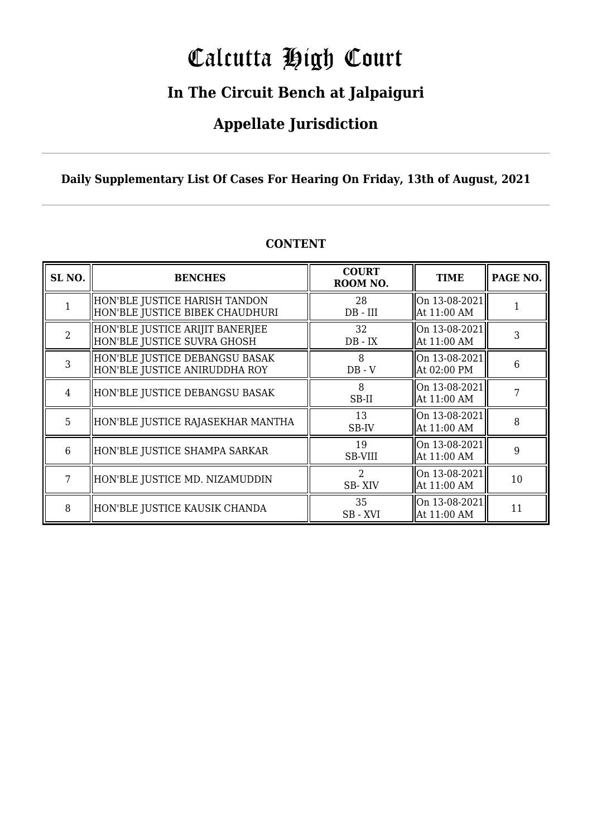# Calcutta High Court

### **In The Circuit Bench at Jalpaiguri**

### **Appellate Jurisdiction**

**Daily Supplementary List Of Cases For Hearing On Friday, 13th of August, 2021**

| SL <sub>NO.</sub> | <b>BENCHES</b>                                                   | <b>COURT</b><br>ROOM NO. | <b>TIME</b>                  | PAGE NO. |
|-------------------|------------------------------------------------------------------|--------------------------|------------------------------|----------|
|                   | HON'BLE JUSTICE HARISH TANDON<br>HON'BLE JUSTICE BIBEK CHAUDHURI | 28<br>$DB - III$         | On 13-08-2021<br>At 11:00 AM |          |
| $\overline{2}$    | HON'BLE JUSTICE ARIJIT BANERJEE<br>HON'BLE JUSTICE SUVRA GHOSH   | 32<br>$DB - IX$          | On 13-08-2021<br>At 11:00 AM | 3        |
| 3                 | HON'BLE JUSTICE DEBANGSU BASAK<br>HON'BLE JUSTICE ANIRUDDHA ROY  | 8<br>$DB - V$            | On 13-08-2021<br>At 02:00 PM | 6        |
| 4                 | HON'BLE JUSTICE DEBANGSU BASAK                                   | 8<br>SB-II               | On 13-08-2021<br>At 11:00 AM |          |
| 5                 | HON'BLE JUSTICE RAJASEKHAR MANTHA                                | 13<br>SB-IV              | On 13-08-2021<br>At 11:00 AM | 8        |
| 6                 | HON'BLE JUSTICE SHAMPA SARKAR                                    | 19<br>SB-VIII            | On 13-08-2021<br>At 11:00 AM | 9        |
| 7                 | HON'BLE JUSTICE MD. NIZAMUDDIN                                   | $\mathcal{D}$<br>SB-XIV  | On 13-08-2021<br>At 11:00 AM | 10       |
| 8                 | HON'BLE JUSTICE KAUSIK CHANDA                                    | 35<br>SB-XVI             | On 13-08-2021<br>At 11:00 AM | 11       |

#### **CONTENT**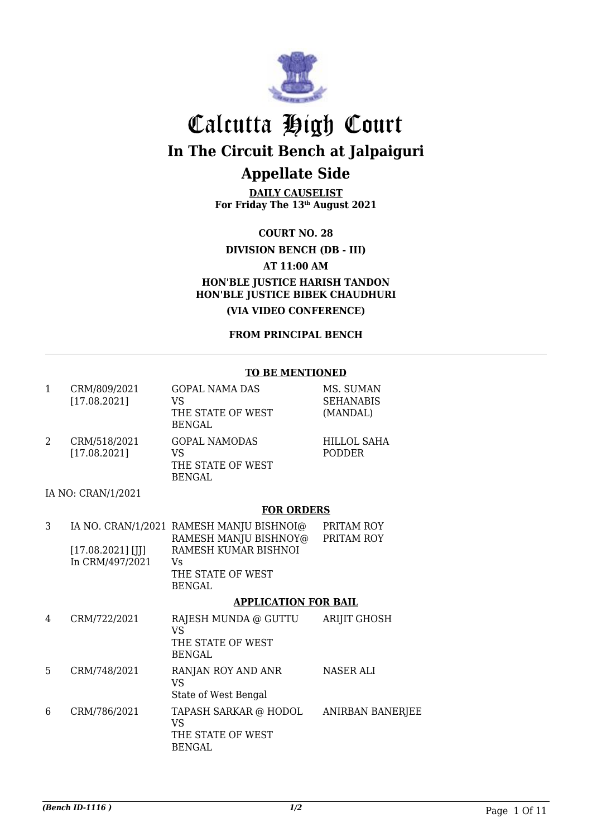

**DAILY CAUSELIST For Friday The 13th August 2021**

**COURT NO. 28**

**DIVISION BENCH (DB - III)**

**AT 11:00 AM**

**HON'BLE JUSTICE HARISH TANDON HON'BLE JUSTICE BIBEK CHAUDHURI**

**(VIA VIDEO CONFERENCE)**

**FROM PRINCIPAL BENCH**

#### **TO BE MENTIONED**

| $\mathbf{1}$ | CRM/809/2021<br>[17.08.2021] | <b>GOPAL NAMA DAS</b><br>VS<br>THE STATE OF WEST<br><b>BENGAL</b>        | MS. SUMAN<br><b>SEHANABIS</b><br>(MANDAL) |
|--------------|------------------------------|--------------------------------------------------------------------------|-------------------------------------------|
| 2            | CRM/518/2021<br>[17.08.2021] | <b>GOPAL NAMODAS</b><br><b>VS</b><br>THE STATE OF WEST<br><b>BENGAL</b>  | <b>HILLOL SAHA</b><br><b>PODDER</b>       |
|              | IA NO: CRAN/1/2021           |                                                                          |                                           |
|              |                              | <b>FOR ORDERS</b>                                                        |                                           |
| 3            |                              | IA NO. CRAN/1/2021 RAMESH MANJU BISHNOI@<br>RAMESH MANJU BISHNOY@        | PRITAM ROY<br>PRITAM ROY                  |
|              | $[17.08.2021]$ [JJ]          | RAMESH KUMAR BISHNOI                                                     |                                           |
|              | In CRM/497/2021              | Vs<br>THE STATE OF WEST<br><b>BENGAL</b>                                 |                                           |
|              |                              | <b>APPLICATION FOR BAIL</b>                                              |                                           |
| 4            | CRM/722/2021                 | RAJESH MUNDA @ GUTTU<br><b>VS</b><br>THE STATE OF WEST<br>BENGAL         | <b>ARIJIT GHOSH</b>                       |
| 5            | CRM/748/2021                 | RANJAN ROY AND ANR<br><b>VS</b><br>State of West Bengal                  | <b>NASER ALI</b>                          |
| 6            | CRM/786/2021                 | TAPASH SARKAR @ HODOL<br><b>VS</b><br>THE STATE OF WEST<br><b>BENGAL</b> | ANIRBAN BANERJEE                          |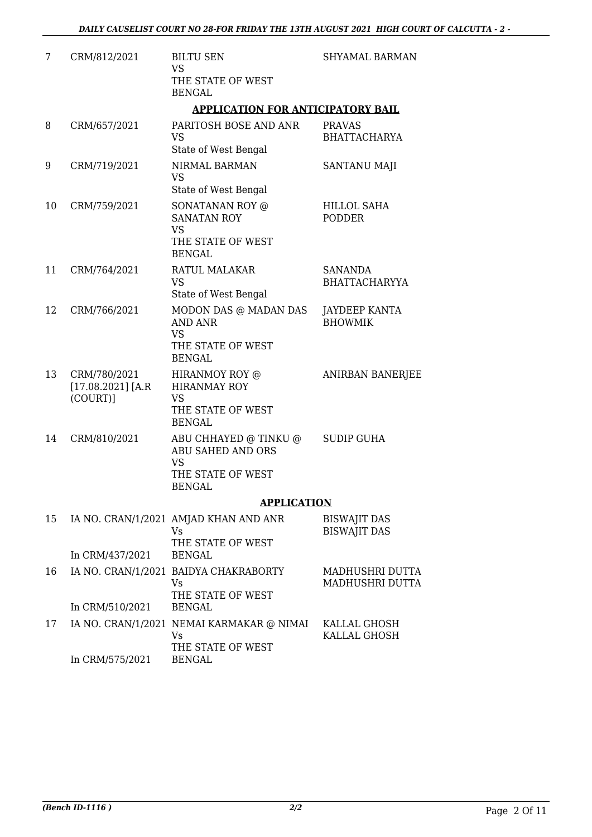| 7  | CRM/812/2021                                     | <b>BILTU SEN</b><br><b>VS</b>                                                                      | <b>SHYAMAL BARMAN</b>                      |
|----|--------------------------------------------------|----------------------------------------------------------------------------------------------------|--------------------------------------------|
|    |                                                  | THE STATE OF WEST<br><b>BENGAL</b>                                                                 |                                            |
|    |                                                  | <b>APPLICATION FOR ANTICIPATORY BAIL</b>                                                           |                                            |
| 8  | CRM/657/2021                                     | PARITOSH BOSE AND ANR<br><b>VS</b><br>State of West Bengal                                         | <b>PRAVAS</b><br><b>BHATTACHARYA</b>       |
| 9  | CRM/719/2021                                     | NIRMAL BARMAN<br><b>VS</b><br>State of West Bengal                                                 | SANTANU MAJI                               |
| 10 | CRM/759/2021                                     | SONATANAN ROY @<br><b>SANATAN ROY</b><br><b>VS</b><br>THE STATE OF WEST<br><b>BENGAL</b>           | <b>HILLOL SAHA</b><br><b>PODDER</b>        |
| 11 | CRM/764/2021                                     | RATUL MALAKAR<br><b>VS</b><br>State of West Bengal                                                 | <b>SANANDA</b><br><b>BHATTACHARYYA</b>     |
| 12 | CRM/766/2021                                     | MODON DAS @ MADAN DAS<br><b>AND ANR</b><br><b>VS</b><br>THE STATE OF WEST<br><b>BENGAL</b>         | JAYDEEP KANTA<br><b>BHOWMIK</b>            |
| 13 | CRM/780/2021<br>$[17.08.2021]$ [A.R]<br>(COURT)] | HIRANMOY ROY @<br><b>HIRANMAY ROY</b><br><b>VS</b><br>THE STATE OF WEST<br><b>BENGAL</b>           | <b>ANIRBAN BANERJEE</b>                    |
| 14 | CRM/810/2021                                     | ABU CHHAYED @ TINKU @<br>ABU SAHED AND ORS<br><b>VS</b><br>THE STATE OF WEST<br><b>BENGAL</b>      | <b>SUDIP GUHA</b>                          |
|    |                                                  | <b>APPLICATION</b>                                                                                 |                                            |
| 15 |                                                  | IA NO. CRAN/1/2021 AMJAD KHAN AND ANR<br><b>Vs</b><br>THE STATE OF WEST                            | <b>BISWAJIT DAS</b><br><b>BISWAJIT DAS</b> |
|    | In CRM/437/2021                                  | <b>BENGAL</b>                                                                                      |                                            |
| 16 |                                                  | IA NO. CRAN/1/2021 BAIDYA CHAKRABORTY<br><b>Vs</b><br>THE STATE OF WEST                            | MADHUSHRI DUTTA<br>MADHUSHRI DUTTA         |
|    | In CRM/510/2021                                  | <b>BENGAL</b>                                                                                      |                                            |
| 17 | In CRM/575/2021                                  | IA NO. CRAN/1/2021 NEMAI KARMAKAR @ NIMAI KALLAL GHOSH<br>Vs<br>THE STATE OF WEST<br><b>BENGAL</b> | KALLAL GHOSH                               |
|    |                                                  |                                                                                                    |                                            |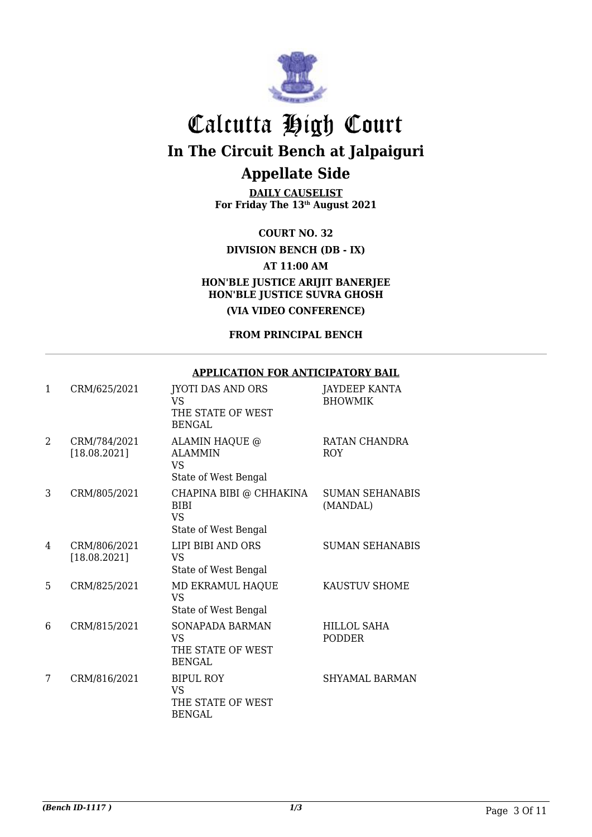

**DAILY CAUSELIST For Friday The 13th August 2021**

**COURT NO. 32**

**DIVISION BENCH (DB - IX)**

**AT 11:00 AM**

**HON'BLE JUSTICE ARIJIT BANERJEE HON'BLE JUSTICE SUVRA GHOSH**

**(VIA VIDEO CONFERENCE)**

**FROM PRINCIPAL BENCH**

#### **APPLICATION FOR ANTICIPATORY BAIL**

| $\mathbf{1}$   | CRM/625/2021                 | <b>JYOTI DAS AND ORS</b><br>VS<br>THE STATE OF WEST<br><b>BENGAL</b>        | <b>JAYDEEP KANTA</b><br><b>BHOWMIK</b> |
|----------------|------------------------------|-----------------------------------------------------------------------------|----------------------------------------|
| $\overline{2}$ | CRM/784/2021<br>[18.08.2021] | ALAMIN HAQUE @<br><b>ALAMMIN</b><br><b>VS</b><br>State of West Bengal       | RATAN CHANDRA<br><b>ROY</b>            |
| 3              | CRM/805/2021                 | CHAPINA BIBI @ CHHAKINA<br><b>BIBI</b><br><b>VS</b><br>State of West Bengal | <b>SUMAN SEHANABIS</b><br>(MANDAL)     |
| 4              | CRM/806/2021<br>[18.08.2021] | LIPI BIBI AND ORS<br><b>VS</b><br>State of West Bengal                      | <b>SUMAN SEHANABIS</b>                 |
| 5              | CRM/825/2021                 | MD EKRAMUL HAQUE<br><b>VS</b><br>State of West Bengal                       | KAUSTUV SHOME                          |
| 6              | CRM/815/2021                 | <b>SONAPADA BARMAN</b><br><b>VS</b><br>THE STATE OF WEST<br><b>BENGAL</b>   | <b>HILLOL SAHA</b><br><b>PODDER</b>    |
| 7              | CRM/816/2021                 | <b>BIPUL ROY</b><br><b>VS</b><br>THE STATE OF WEST<br><b>BENGAL</b>         | <b>SHYAMAL BARMAN</b>                  |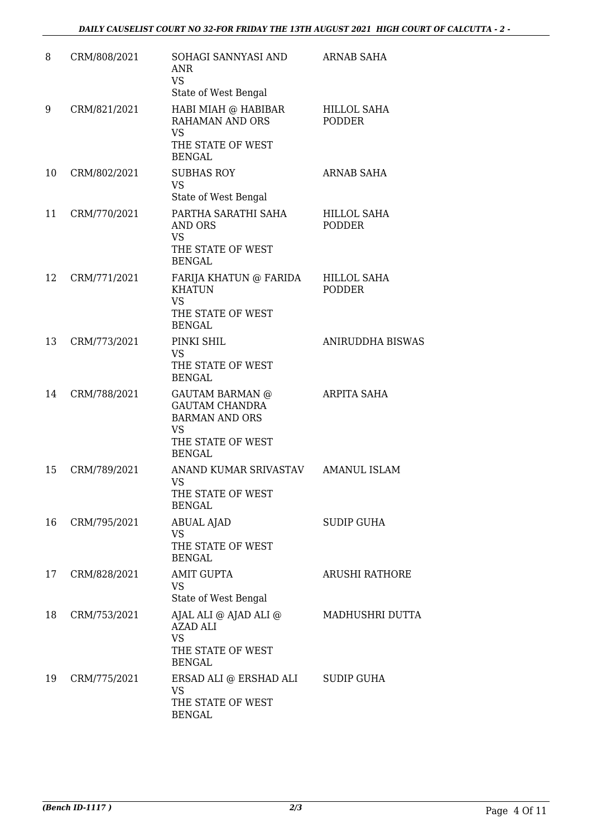| 8  | CRM/808/2021 | SOHAGI SANNYASI AND<br>ANR<br><b>VS</b><br>State of West Bengal                                                             | ARNAB SAHA                   |
|----|--------------|-----------------------------------------------------------------------------------------------------------------------------|------------------------------|
| 9  | CRM/821/2021 | HABI MIAH @ HABIBAR<br>RAHAMAN AND ORS<br><b>VS</b><br>THE STATE OF WEST<br><b>BENGAL</b>                                   | HILLOL SAHA<br><b>PODDER</b> |
| 10 | CRM/802/2021 | <b>SUBHAS ROY</b><br><b>VS</b><br>State of West Bengal                                                                      | <b>ARNAB SAHA</b>            |
| 11 | CRM/770/2021 | PARTHA SARATHI SAHA<br>AND ORS<br><b>VS</b><br>THE STATE OF WEST<br><b>BENGAL</b>                                           | HILLOL SAHA<br><b>PODDER</b> |
| 12 | CRM/771/2021 | FARIJA KHATUN @ FARIDA<br><b>KHATUN</b><br><b>VS</b><br>THE STATE OF WEST<br><b>BENGAL</b>                                  | HILLOL SAHA<br><b>PODDER</b> |
| 13 | CRM/773/2021 | PINKI SHIL<br><b>VS</b><br>THE STATE OF WEST<br><b>BENGAL</b>                                                               | ANIRUDDHA BISWAS             |
| 14 | CRM/788/2021 | <b>GAUTAM BARMAN @</b><br><b>GAUTAM CHANDRA</b><br><b>BARMAN AND ORS</b><br><b>VS</b><br>THE STATE OF WEST<br><b>BENGAL</b> | ARPITA SAHA                  |
| 15 | CRM/789/2021 | ANAND KUMAR SRIVASTAV AMANUL ISLAM<br>VS<br>THE STATE OF WEST<br><b>BENGAL</b>                                              |                              |
| 16 | CRM/795/2021 | <b>ABUAL AJAD</b><br><b>VS</b><br>THE STATE OF WEST<br><b>BENGAL</b>                                                        | <b>SUDIP GUHA</b>            |
| 17 | CRM/828/2021 | <b>AMIT GUPTA</b><br><b>VS</b><br>State of West Bengal                                                                      | <b>ARUSHI RATHORE</b>        |
| 18 | CRM/753/2021 | AJAL ALI @ AJAD ALI @<br><b>AZAD ALI</b><br><b>VS</b><br>THE STATE OF WEST<br><b>BENGAL</b>                                 | MADHUSHRI DUTTA              |
| 19 | CRM/775/2021 | ERSAD ALI @ ERSHAD ALI<br><b>VS</b><br>THE STATE OF WEST<br><b>BENGAL</b>                                                   | <b>SUDIP GUHA</b>            |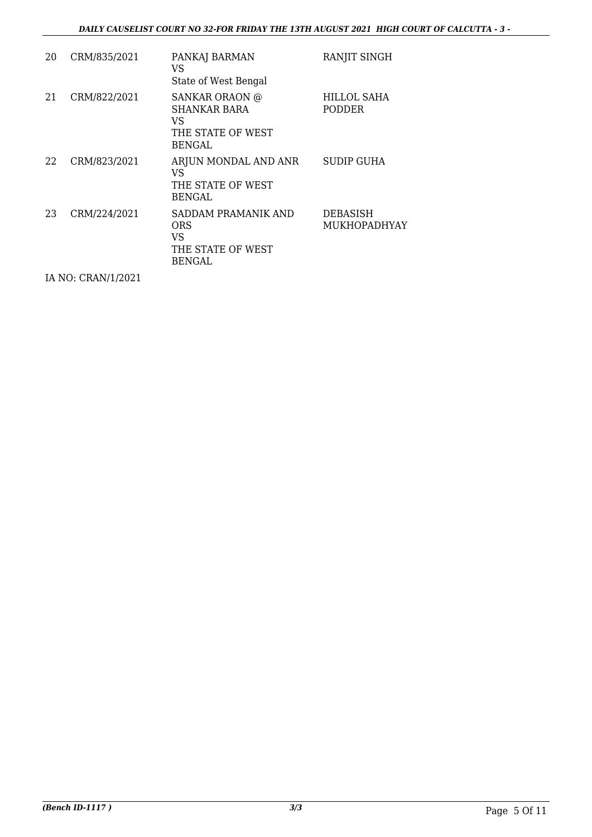#### *DAILY CAUSELIST COURT NO 32-FOR FRIDAY THE 13TH AUGUST 2021 HIGH COURT OF CALCUTTA - 3 -*

| 20 | CRM/835/2021 | PANKAJ BARMAN<br>VS<br>State of West Bengal                                       | RANJIT SINGH                    |
|----|--------------|-----------------------------------------------------------------------------------|---------------------------------|
| 21 | CRM/822/2021 | <b>SANKAR ORAON @</b><br><b>SHANKAR BARA</b><br>VS<br>THE STATE OF WEST<br>BENGAL | HILLOL SAHA<br><b>PODDER</b>    |
| 22 | CRM/823/2021 | ARJUN MONDAL AND ANR<br>VS<br>THE STATE OF WEST<br><b>BENGAL</b>                  | SUDIP GUHA                      |
| 23 | CRM/224/2021 | SADDAM PRAMANIK AND<br><b>ORS</b><br>VS<br>THE STATE OF WEST<br>BENGAL            | <b>DEBASISH</b><br>MUKHOPADHYAY |

IA NO: CRAN/1/2021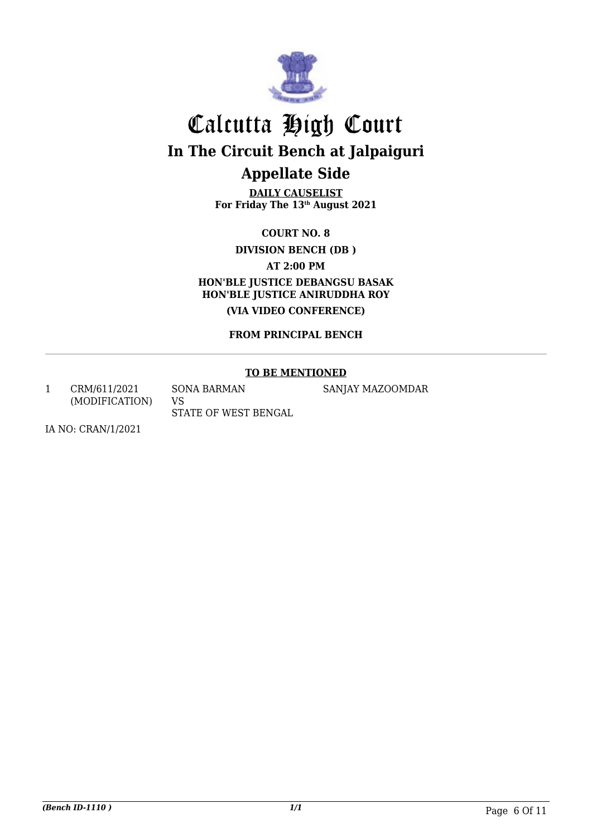

**DAILY CAUSELIST For Friday The 13th August 2021**

**COURT NO. 8**

**DIVISION BENCH (DB )**

**AT 2:00 PM**

**HON'BLE JUSTICE DEBANGSU BASAK HON'BLE JUSTICE ANIRUDDHA ROY (VIA VIDEO CONFERENCE)**

**FROM PRINCIPAL BENCH**

#### **TO BE MENTIONED**

SANJAY MAZOOMDAR

1 CRM/611/2021 (MODIFICATION) SONA BARMAN VS

STATE OF WEST BENGAL

IA NO: CRAN/1/2021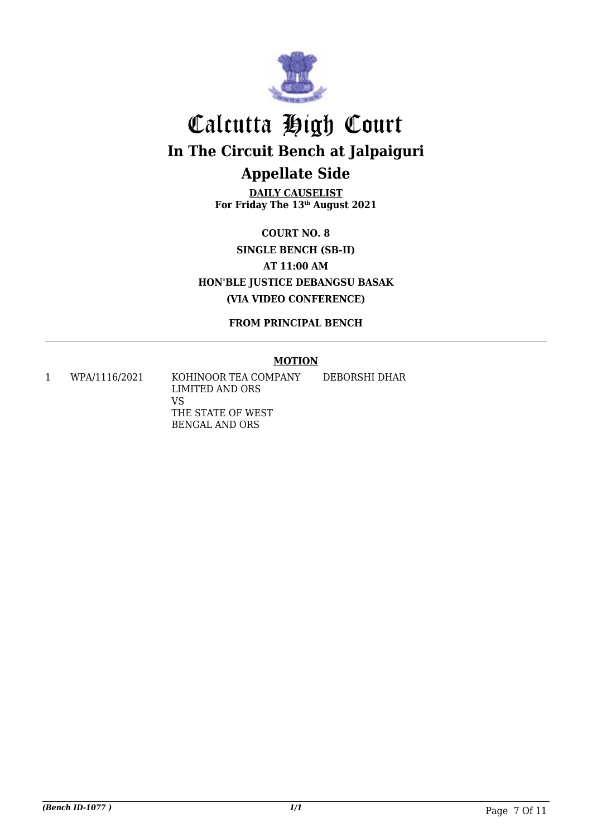

**DAILY CAUSELIST For Friday The 13th August 2021**

**COURT NO. 8 SINGLE BENCH (SB-II) AT 11:00 AM HON'BLE JUSTICE DEBANGSU BASAK (VIA VIDEO CONFERENCE)**

**FROM PRINCIPAL BENCH**

#### **MOTION**

1 WPA/1116/2021 KOHINOOR TEA COMPANY LIMITED AND ORS VS THE STATE OF WEST BENGAL AND ORS DEBORSHI DHAR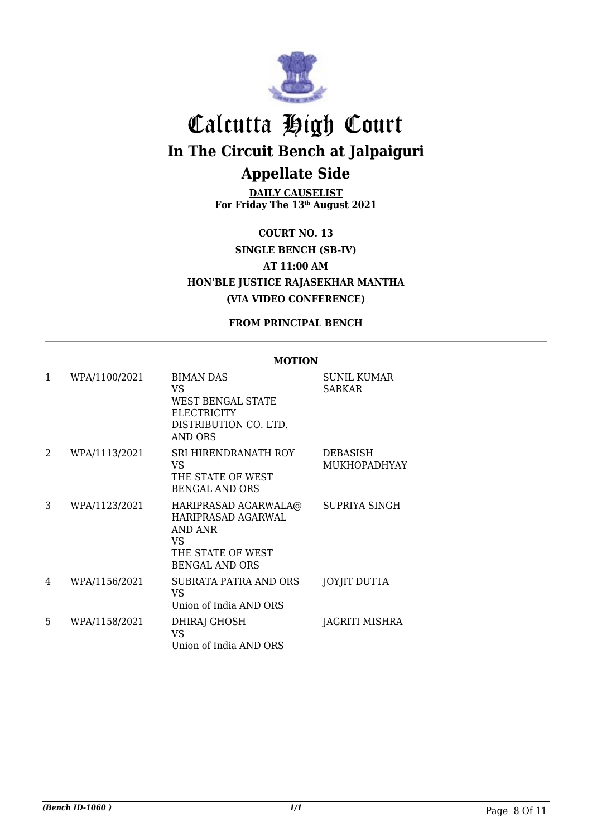

**DAILY CAUSELIST For Friday The 13th August 2021**

**COURT NO. 13 SINGLE BENCH (SB-IV) AT 11:00 AM HON'BLE JUSTICE RAJASEKHAR MANTHA (VIA VIDEO CONFERENCE)**

#### **FROM PRINCIPAL BENCH**

#### **MOTION**

| $\mathbf{1}$ | WPA/1100/2021 | <b>BIMAN DAS</b><br>VS.<br>WEST BENGAL STATE<br><b>ELECTRICITY</b><br>DISTRIBUTION CO. LTD.<br><b>AND ORS</b> | <b>SUNIL KUMAR</b><br>SARKAR    |
|--------------|---------------|---------------------------------------------------------------------------------------------------------------|---------------------------------|
| 2            | WPA/1113/2021 | <b>SRI HIRENDRANATH ROY</b><br>VS.<br>THE STATE OF WEST<br><b>BENGAL AND ORS</b>                              | DEBASISH<br><b>MUKHOPADHYAY</b> |
| 3            | WPA/1123/2021 | HARIPRASAD AGARWALA@<br>HARIPRASAD AGARWAL<br>AND ANR<br>VS.<br>THE STATE OF WEST<br><b>BENGAL AND ORS</b>    | SUPRIYA SINGH                   |
| 4            | WPA/1156/2021 | <b>SUBRATA PATRA AND ORS</b><br>VS.<br>Union of India AND ORS                                                 | <b>JOYJIT DUTTA</b>             |
| 5            | WPA/1158/2021 | DHIRAJ GHOSH<br>VS.<br>Union of India AND ORS                                                                 | JAGRITI MISHRA                  |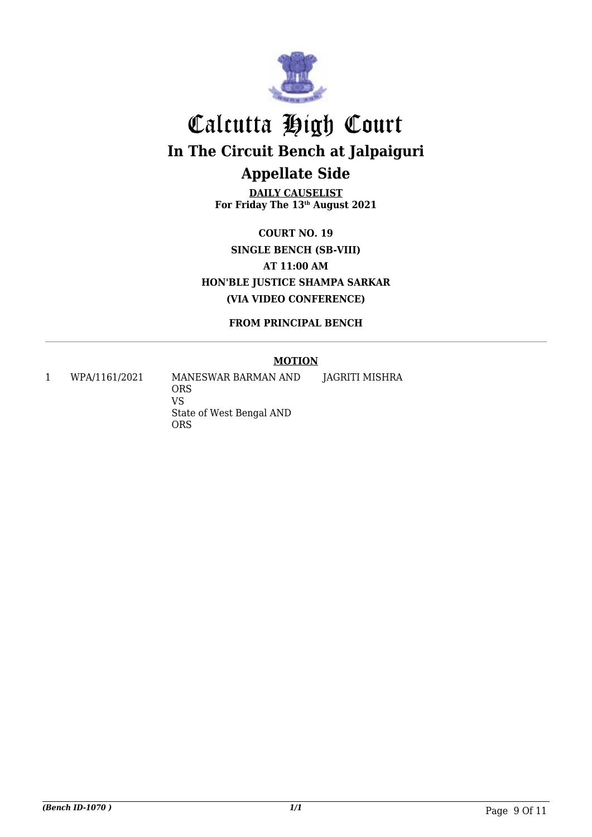

**DAILY CAUSELIST For Friday The 13th August 2021**

**COURT NO. 19 SINGLE BENCH (SB-VIII) AT 11:00 AM HON'BLE JUSTICE SHAMPA SARKAR (VIA VIDEO CONFERENCE)**

**FROM PRINCIPAL BENCH**

#### **MOTION**

1 WPA/1161/2021 MANESWAR BARMAN AND ORS VS State of West Bengal AND ORS JAGRITI MISHRA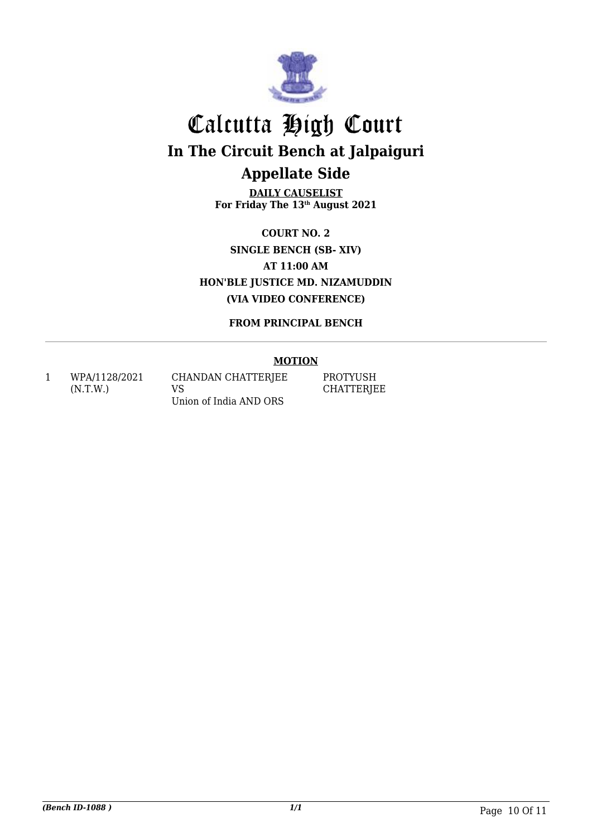

**DAILY CAUSELIST For Friday The 13th August 2021**

**COURT NO. 2 SINGLE BENCH (SB- XIV) AT 11:00 AM HON'BLE JUSTICE MD. NIZAMUDDIN (VIA VIDEO CONFERENCE)**

**FROM PRINCIPAL BENCH**

#### **MOTION**

1 WPA/1128/2021 (N.T.W.)

CHANDAN CHATTERJEE VS Union of India AND ORS

PROTYUSH **CHATTERJEE**